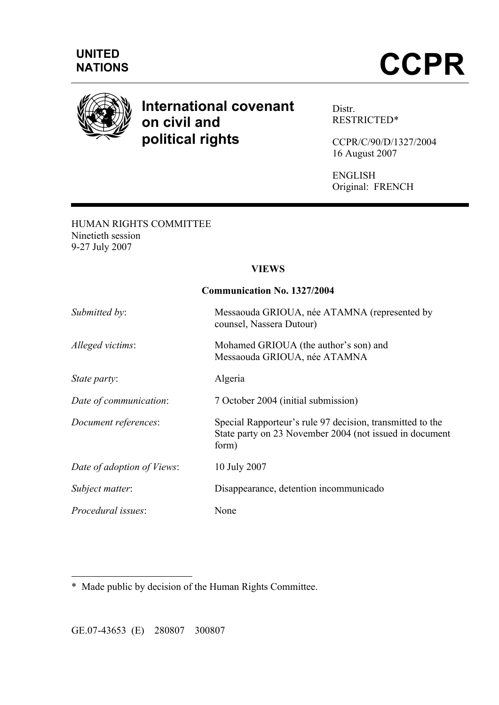

# **International covenant on civil and political rights**

Distr. RESTRICTED\*

CCPR/C/90/D/1327/2004 16 August 2007

ENGLISH Original: FRENCH

### HUMAN RIGHTS COMMITTEE Ninetieth session 9-27 July 2007

# **VIEWS**

**Communication No. 1327/2004**

| Communication No. 132//2004 |                                                                                                                               |
|-----------------------------|-------------------------------------------------------------------------------------------------------------------------------|
| Submitted by:               | Messaouda GRIOUA, née ATAMNA (represented by<br>counsel, Nassera Dutour)                                                      |
| Alleged victims:            | Mohamed GRIOUA (the author's son) and<br>Messaouda GRIOUA, née ATAMNA                                                         |
| State party:                | Algeria                                                                                                                       |
| Date of communication:      | 7 October 2004 (initial submission)                                                                                           |
| Document references:        | Special Rapporteur's rule 97 decision, transmitted to the<br>State party on 23 November 2004 (not issued in document<br>form) |
| Date of adoption of Views:  | 10 July 2007                                                                                                                  |
| Subject matter:             | Disappearance, detention incommunicado                                                                                        |
| Procedural issues:          | None                                                                                                                          |

 $\overline{a}$ \* Made public by decision of the Human Rights Committee.

GE.07-43653 (E) 280807 300807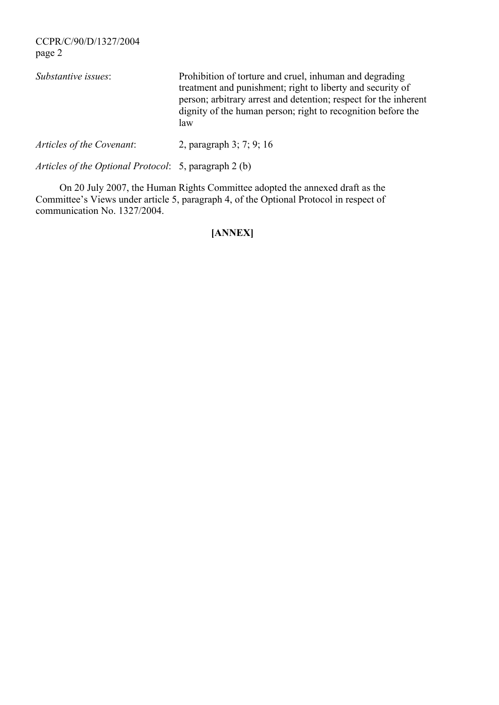CCPR/C/90/D/1327/2004 page 2 *Substantive issues*: Prohibition of torture and cruel, inhuman and degrading treatment and punishment; right to liberty and security of person; arbitrary arrest and detention; respect for the inherent dignity of the human person; right to recognition before the law *Articles of the Covenant*: 2, paragraph 3; 7; 9; 16

*Articles of the Optional Protocol*: 5, paragraph 2 (b)

On 20 July 2007, the Human Rights Committee adopted the annexed draft as the Committee's Views under article 5, paragraph 4, of the Optional Protocol in respect of communication No. 1327/2004.

# **[ANNEX]**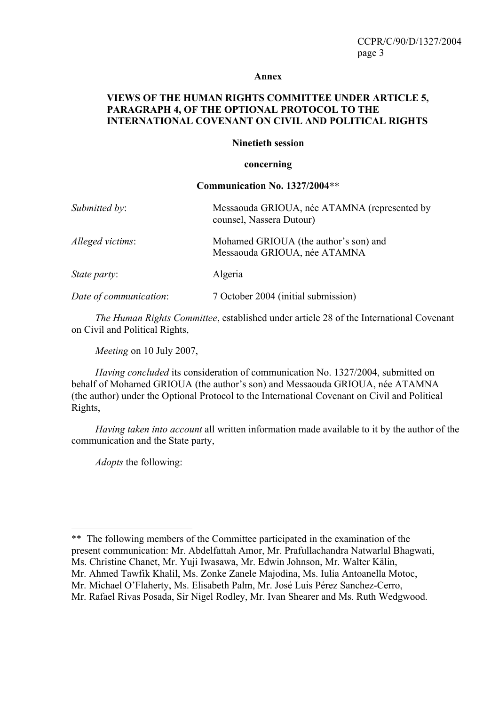#### **Annex**

### **VIEWS OF THE HUMAN RIGHTS COMMITTEE UNDER ARTICLE 5, PARAGRAPH 4, OF THE OPTIONAL PROTOCOL TO THE INTERNATIONAL COVENANT ON CIVIL AND POLITICAL RIGHTS**

#### **Ninetieth session**

#### **concerning**

#### **Communication No. 1327/2004**\*\*

| Submitted by:          | Messaouda GRIOUA, née ATAMNA (represented by<br>counsel, Nassera Dutour) |
|------------------------|--------------------------------------------------------------------------|
| Alleged victims:       | Mohamed GRIOUA (the author's son) and<br>Messaouda GRIOUA, née ATAMNA    |
| <i>State party:</i>    | Algeria                                                                  |
| Date of communication: | 7 October 2004 (initial submission)                                      |

*The Human Rights Committee*, established under article 28 of the International Covenant on Civil and Political Rights,

*Meeting* on 10 July 2007,

*Having concluded* its consideration of communication No. 1327/2004, submitted on behalf of Mohamed GRIOUA (the author's son) and Messaouda GRIOUA, née ATAMNA (the author) under the Optional Protocol to the International Covenant on Civil and Political Rights,

*Having taken into account* all written information made available to it by the author of the communication and the State party,

*Adopts* the following:

<sup>\*\*</sup> The following members of the Committee participated in the examination of the present communication: Mr. Abdelfattah Amor, Mr. Prafullachandra Natwarlal Bhagwati, Ms. Christine Chanet, Mr. Yuji Iwasawa, Mr. Edwin Johnson, Mr. Walter Kälin, Mr. Ahmed Tawfik Khalil, Ms. Zonke Zanele Majodina, Ms. Iulia Antoanella Motoc, Mr. Michael O'Flaherty, Ms. Elisabeth Palm, Mr. José Luis Pérez Sanchez-Cerro, Mr. Rafael Rivas Posada, Sir Nigel Rodley, Mr. Ivan Shearer and Ms. Ruth Wedgwood.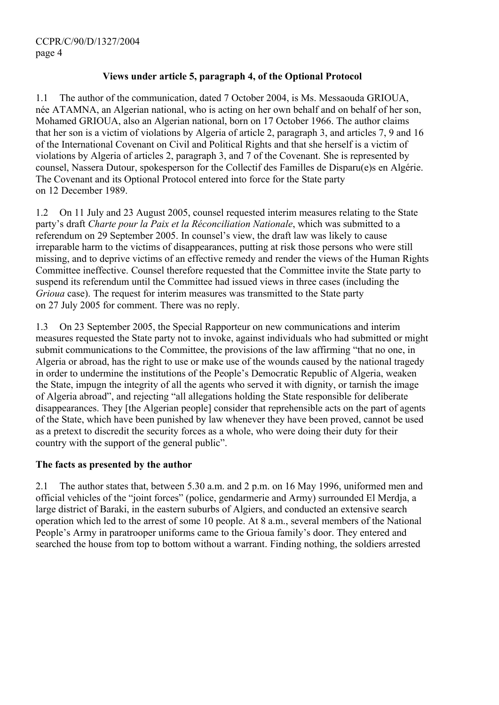# **Views under article 5, paragraph 4, of the Optional Protocol**

1.1 The author of the communication, dated 7 October 2004, is Ms. Messaouda GRIOUA, née ATAMNA, an Algerian national, who is acting on her own behalf and on behalf of her son, Mohamed GRIOUA, also an Algerian national, born on 17 October 1966. The author claims that her son is a victim of violations by Algeria of article 2, paragraph 3, and articles 7, 9 and 16 of the International Covenant on Civil and Political Rights and that she herself is a victim of violations by Algeria of articles 2, paragraph 3, and 7 of the Covenant. She is represented by counsel, Nassera Dutour, spokesperson for the Collectif des Familles de Disparu(e)s en Algérie. The Covenant and its Optional Protocol entered into force for the State party on 12 December 1989.

1.2 On 11 July and 23 August 2005, counsel requested interim measures relating to the State party's draft *Charte pour la Paix et la Réconciliation Nationale*, which was submitted to a referendum on 29 September 2005. In counsel's view, the draft law was likely to cause irreparable harm to the victims of disappearances, putting at risk those persons who were still missing, and to deprive victims of an effective remedy and render the views of the Human Rights Committee ineffective. Counsel therefore requested that the Committee invite the State party to suspend its referendum until the Committee had issued views in three cases (including the *Grioua* case). The request for interim measures was transmitted to the State party on 27 July 2005 for comment. There was no reply.

1.3 On 23 September 2005, the Special Rapporteur on new communications and interim measures requested the State party not to invoke, against individuals who had submitted or might submit communications to the Committee, the provisions of the law affirming "that no one, in Algeria or abroad, has the right to use or make use of the wounds caused by the national tragedy in order to undermine the institutions of the People's Democratic Republic of Algeria, weaken the State, impugn the integrity of all the agents who served it with dignity, or tarnish the image of Algeria abroad", and rejecting "all allegations holding the State responsible for deliberate disappearances. They [the Algerian people] consider that reprehensible acts on the part of agents of the State, which have been punished by law whenever they have been proved, cannot be used as a pretext to discredit the security forces as a whole, who were doing their duty for their country with the support of the general public".

# **The facts as presented by the author**

2.1 The author states that, between 5.30 a.m. and 2 p.m. on 16 May 1996, uniformed men and official vehicles of the "joint forces" (police, gendarmerie and Army) surrounded El Merdja, a large district of Baraki, in the eastern suburbs of Algiers, and conducted an extensive search operation which led to the arrest of some 10 people. At 8 a.m., several members of the National People's Army in paratrooper uniforms came to the Grioua family's door. They entered and searched the house from top to bottom without a warrant. Finding nothing, the soldiers arrested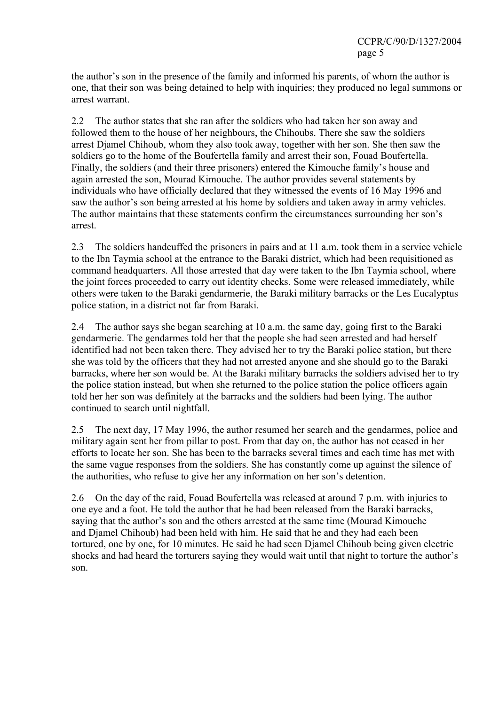the author's son in the presence of the family and informed his parents, of whom the author is one, that their son was being detained to help with inquiries; they produced no legal summons or arrest warrant.

2.2 The author states that she ran after the soldiers who had taken her son away and followed them to the house of her neighbours, the Chihoubs. There she saw the soldiers arrest Djamel Chihoub, whom they also took away, together with her son. She then saw the soldiers go to the home of the Boufertella family and arrest their son, Fouad Boufertella. Finally, the soldiers (and their three prisoners) entered the Kimouche family's house and again arrested the son, Mourad Kimouche. The author provides several statements by individuals who have officially declared that they witnessed the events of 16 May 1996 and saw the author's son being arrested at his home by soldiers and taken away in army vehicles. The author maintains that these statements confirm the circumstances surrounding her son's arrest.

2.3 The soldiers handcuffed the prisoners in pairs and at 11 a.m. took them in a service vehicle to the Ibn Taymia school at the entrance to the Baraki district, which had been requisitioned as command headquarters. All those arrested that day were taken to the Ibn Taymia school, where the joint forces proceeded to carry out identity checks. Some were released immediately, while others were taken to the Baraki gendarmerie, the Baraki military barracks or the Les Eucalyptus police station, in a district not far from Baraki.

2.4 The author says she began searching at 10 a.m. the same day, going first to the Baraki gendarmerie. The gendarmes told her that the people she had seen arrested and had herself identified had not been taken there. They advised her to try the Baraki police station, but there she was told by the officers that they had not arrested anyone and she should go to the Baraki barracks, where her son would be. At the Baraki military barracks the soldiers advised her to try the police station instead, but when she returned to the police station the police officers again told her her son was definitely at the barracks and the soldiers had been lying. The author continued to search until nightfall.

2.5 The next day, 17 May 1996, the author resumed her search and the gendarmes, police and military again sent her from pillar to post. From that day on, the author has not ceased in her efforts to locate her son. She has been to the barracks several times and each time has met with the same vague responses from the soldiers. She has constantly come up against the silence of the authorities, who refuse to give her any information on her son's detention.

2.6 On the day of the raid, Fouad Boufertella was released at around 7 p.m. with injuries to one eye and a foot. He told the author that he had been released from the Baraki barracks, saying that the author's son and the others arrested at the same time (Mourad Kimouche and Djamel Chihoub) had been held with him. He said that he and they had each been tortured, one by one, for 10 minutes. He said he had seen Djamel Chihoub being given electric shocks and had heard the torturers saying they would wait until that night to torture the author's son.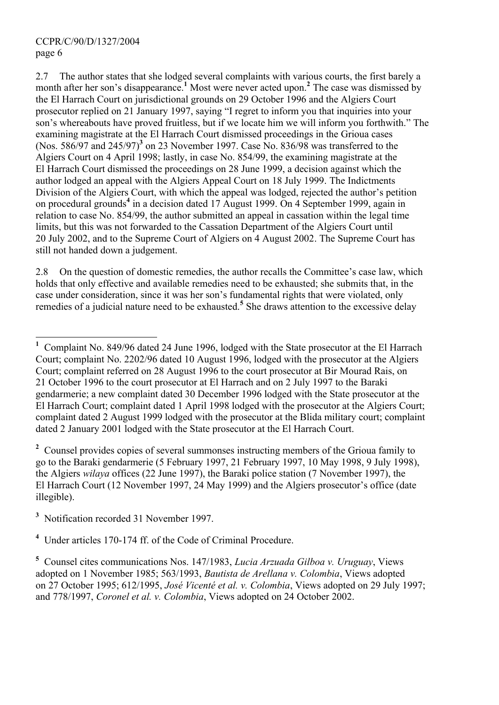$\overline{a}$ 

2.7 The author states that she lodged several complaints with various courts, the first barely a month after her son's disappearance.**<sup>1</sup>** Most were never acted upon.**<sup>2</sup>** The case was dismissed by the El Harrach Court on jurisdictional grounds on 29 October 1996 and the Algiers Court prosecutor replied on 21 January 1997, saying "I regret to inform you that inquiries into your son's whereabouts have proved fruitless, but if we locate him we will inform you forthwith." The examining magistrate at the El Harrach Court dismissed proceedings in the Grioua cases (Nos. 586/97 and 245/97)**<sup>3</sup>** on 23 November 1997. Case No. 836/98 was transferred to the Algiers Court on 4 April 1998; lastly, in case No. 854/99, the examining magistrate at the El Harrach Court dismissed the proceedings on 28 June 1999, a decision against which the author lodged an appeal with the Algiers Appeal Court on 18 July 1999. The Indictments Division of the Algiers Court, with which the appeal was lodged, rejected the author's petition on procedural grounds**<sup>4</sup>** in a decision dated 17 August 1999. On 4 September 1999, again in relation to case No. 854/99, the author submitted an appeal in cassation within the legal time limits, but this was not forwarded to the Cassation Department of the Algiers Court until 20 July 2002, and to the Supreme Court of Algiers on 4 August 2002. The Supreme Court has still not handed down a judgement.

2.8 On the question of domestic remedies, the author recalls the Committee's case law, which holds that only effective and available remedies need to be exhausted; she submits that, in the case under consideration, since it was her son's fundamental rights that were violated, only remedies of a judicial nature need to be exhausted.**<sup>5</sup>** She draws attention to the excessive delay

<sup>2</sup> Counsel provides copies of several summonses instructing members of the Grioua family to go to the Baraki gendarmerie (5 February 1997, 21 February 1997, 10 May 1998, 9 July 1998), the Algiers *wilaya* offices (22 June 1997), the Baraki police station (7 November 1997), the El Harrach Court (12 November 1997, 24 May 1999) and the Algiers prosecutor's office (date illegible).

**<sup>3</sup>** Notification recorded 31 November 1997.

**4** Under articles 170-174 ff. of the Code of Criminal Procedure.

**<sup>1</sup>** Complaint No. 849/96 dated 24 June 1996, lodged with the State prosecutor at the El Harrach Court; complaint No. 2202/96 dated 10 August 1996, lodged with the prosecutor at the Algiers Court; complaint referred on 28 August 1996 to the court prosecutor at Bir Mourad Rais, on 21 October 1996 to the court prosecutor at El Harrach and on 2 July 1997 to the Baraki gendarmerie; a new complaint dated 30 December 1996 lodged with the State prosecutor at the El Harrach Court; complaint dated 1 April 1998 lodged with the prosecutor at the Algiers Court; complaint dated 2 August 1999 lodged with the prosecutor at the Blida military court; complaint dated 2 January 2001 lodged with the State prosecutor at the El Harrach Court.

**<sup>5</sup>** Counsel cites communications Nos. 147/1983, *Lucia Arzuada Gilboa v. Uruguay*, Views adopted on 1 November 1985; 563/1993, *Bautista de Arellana v. Colombia*, Views adopted on 27 October 1995; 612/1995, *José Vicenté et al. v. Colombia*, Views adopted on 29 July 1997; and 778/1997, *Coronel et al. v. Colombia*, Views adopted on 24 October 2002.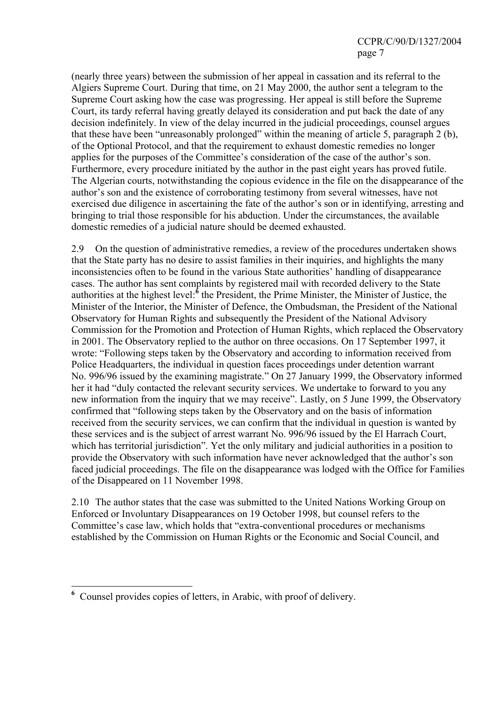(nearly three years) between the submission of her appeal in cassation and its referral to the Algiers Supreme Court. During that time, on 21 May 2000, the author sent a telegram to the Supreme Court asking how the case was progressing. Her appeal is still before the Supreme Court, its tardy referral having greatly delayed its consideration and put back the date of any decision indefinitely. In view of the delay incurred in the judicial proceedings, counsel argues that these have been "unreasonably prolonged" within the meaning of article 5, paragraph 2 (b), of the Optional Protocol, and that the requirement to exhaust domestic remedies no longer applies for the purposes of the Committee's consideration of the case of the author's son. Furthermore, every procedure initiated by the author in the past eight years has proved futile. The Algerian courts, notwithstanding the copious evidence in the file on the disappearance of the author's son and the existence of corroborating testimony from several witnesses, have not exercised due diligence in ascertaining the fate of the author's son or in identifying, arresting and bringing to trial those responsible for his abduction. Under the circumstances, the available domestic remedies of a judicial nature should be deemed exhausted.

2.9 On the question of administrative remedies, a review of the procedures undertaken shows that the State party has no desire to assist families in their inquiries, and highlights the many inconsistencies often to be found in the various State authorities' handling of disappearance cases. The author has sent complaints by registered mail with recorded delivery to the State authorities at the highest level:**<sup>6</sup>** the President, the Prime Minister, the Minister of Justice, the Minister of the Interior, the Minister of Defence, the Ombudsman, the President of the National Observatory for Human Rights and subsequently the President of the National Advisory Commission for the Promotion and Protection of Human Rights, which replaced the Observatory in 2001. The Observatory replied to the author on three occasions. On 17 September 1997, it wrote: "Following steps taken by the Observatory and according to information received from Police Headquarters, the individual in question faces proceedings under detention warrant No. 996/96 issued by the examining magistrate." On 27 January 1999, the Observatory informed her it had "duly contacted the relevant security services. We undertake to forward to you any new information from the inquiry that we may receive". Lastly, on 5 June 1999, the Observatory confirmed that "following steps taken by the Observatory and on the basis of information received from the security services, we can confirm that the individual in question is wanted by these services and is the subject of arrest warrant No. 996/96 issued by the El Harrach Court, which has territorial jurisdiction". Yet the only military and judicial authorities in a position to provide the Observatory with such information have never acknowledged that the author's son faced judicial proceedings. The file on the disappearance was lodged with the Office for Families of the Disappeared on 11 November 1998.

2.10 The author states that the case was submitted to the United Nations Working Group on Enforced or Involuntary Disappearances on 19 October 1998, but counsel refers to the Committee's case law, which holds that "extra-conventional procedures or mechanisms established by the Commission on Human Rights or the Economic and Social Council, and

**<sup>6</sup>** Counsel provides copies of letters, in Arabic, with proof of delivery.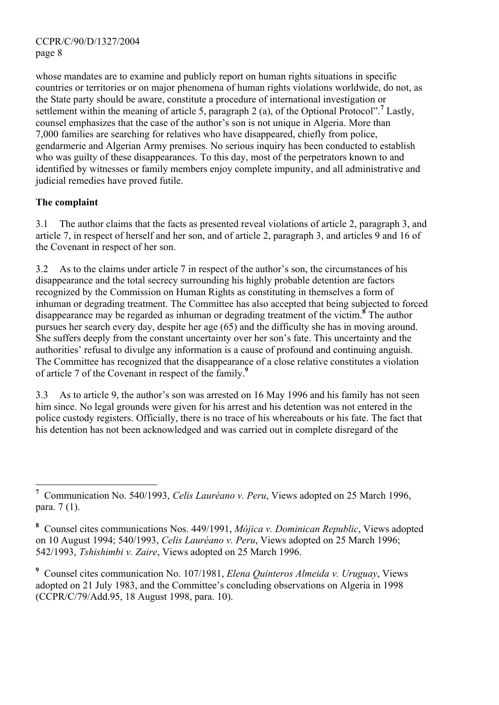whose mandates are to examine and publicly report on human rights situations in specific countries or territories or on major phenomena of human rights violations worldwide, do not, as the State party should be aware, constitute a procedure of international investigation or settlement within the meaning of article 5, paragraph 2 (a), of the Optional Protocol".<sup>7</sup> Lastly, counsel emphasizes that the case of the author's son is not unique in Algeria. More than 7,000 families are searching for relatives who have disappeared, chiefly from police, gendarmerie and Algerian Army premises. No serious inquiry has been conducted to establish who was guilty of these disappearances. To this day, most of the perpetrators known to and identified by witnesses or family members enjoy complete impunity, and all administrative and judicial remedies have proved futile.

# **The complaint**

3.1 The author claims that the facts as presented reveal violations of article 2, paragraph 3, and article 7, in respect of herself and her son, and of article 2, paragraph 3, and articles 9 and 16 of the Covenant in respect of her son.

3.2 As to the claims under article 7 in respect of the author's son, the circumstances of his disappearance and the total secrecy surrounding his highly probable detention are factors recognized by the Commission on Human Rights as constituting in themselves a form of inhuman or degrading treatment. The Committee has also accepted that being subjected to forced disappearance may be regarded as inhuman or degrading treatment of the victim.**<sup>8</sup>** The author pursues her search every day, despite her age (65) and the difficulty she has in moving around. She suffers deeply from the constant uncertainty over her son's fate. This uncertainty and the authorities' refusal to divulge any information is a cause of profound and continuing anguish. The Committee has recognized that the disappearance of a close relative constitutes a violation of article 7 of the Covenant in respect of the family.**<sup>9</sup>**

3.3 As to article 9, the author's son was arrested on 16 May 1996 and his family has not seen him since. No legal grounds were given for his arrest and his detention was not entered in the police custody registers. Officially, there is no trace of his whereabouts or his fate. The fact that his detention has not been acknowledged and was carried out in complete disregard of the

**<sup>9</sup>** Counsel cites communication No. 107/1981, *Elena Quinteros Almeida v. Uruguay*, Views adopted on 21 July 1983, and the Committee's concluding observations on Algeria in 1998 (CCPR/C/79/Add.95, 18 August 1998, para. 10).

 $\overline{a}$ **<sup>7</sup>** Communication No. 540/1993, *Celis Lauréano v. Peru*, Views adopted on 25 March 1996, para. 7 (1).

**<sup>8</sup>** Counsel cites communications Nos. 449/1991, *Mójica v. Dominican Republic*, Views adopted on 10 August 1994; 540/1993, *Celis Lauréano v. Peru*, Views adopted on 25 March 1996; 542/1993, *Tshishimbi v. Zaire*, Views adopted on 25 March 1996.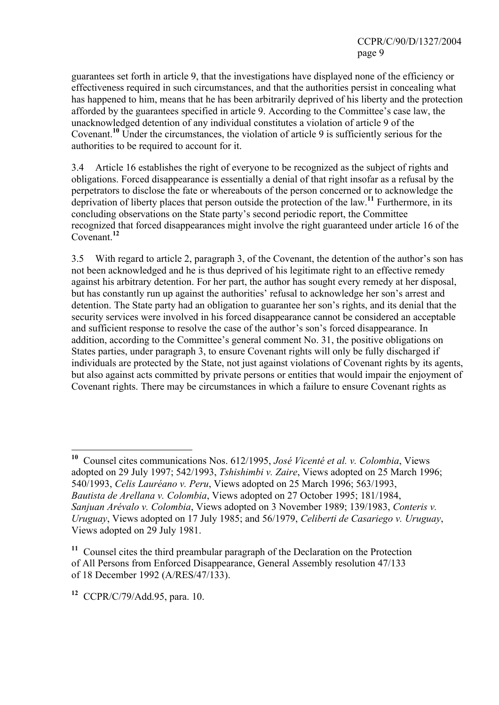CCPR/C/90/D/1327/2004 page 9

guarantees set forth in article 9, that the investigations have displayed none of the efficiency or effectiveness required in such circumstances, and that the authorities persist in concealing what has happened to him, means that he has been arbitrarily deprived of his liberty and the protection afforded by the guarantees specified in article 9. According to the Committee's case law, the unacknowledged detention of any individual constitutes a violation of article 9 of the Covenant.**<sup>10</sup>** Under the circumstances, the violation of article 9 is sufficiently serious for the authorities to be required to account for it.

3.4 Article 16 establishes the right of everyone to be recognized as the subject of rights and obligations. Forced disappearance is essentially a denial of that right insofar as a refusal by the perpetrators to disclose the fate or whereabouts of the person concerned or to acknowledge the deprivation of liberty places that person outside the protection of the law.**<sup>11</sup>** Furthermore, in its concluding observations on the State party's second periodic report, the Committee recognized that forced disappearances might involve the right guaranteed under article 16 of the Covenant.**<sup>12</sup>**

3.5 With regard to article 2, paragraph 3, of the Covenant, the detention of the author's son has not been acknowledged and he is thus deprived of his legitimate right to an effective remedy against his arbitrary detention. For her part, the author has sought every remedy at her disposal, but has constantly run up against the authorities' refusal to acknowledge her son's arrest and detention. The State party had an obligation to guarantee her son's rights, and its denial that the security services were involved in his forced disappearance cannot be considered an acceptable and sufficient response to resolve the case of the author's son's forced disappearance. In addition, according to the Committee's general comment No. 31, the positive obligations on States parties, under paragraph 3, to ensure Covenant rights will only be fully discharged if individuals are protected by the State, not just against violations of Covenant rights by its agents, but also against acts committed by private persons or entities that would impair the enjoyment of Covenant rights. There may be circumstances in which a failure to ensure Covenant rights as

**<sup>10</sup>** Counsel cites communications Nos. 612/1995, *José Vicenté et al. v. Colombia*, Views adopted on 29 July 1997; 542/1993, *Tshishimbi v. Zaire*, Views adopted on 25 March 1996; 540/1993, *Celis Lauréano v. Peru*, Views adopted on 25 March 1996; 563/1993, *Bautista de Arellana v. Colombia*, Views adopted on 27 October 1995; 181/1984, *Sanjuan Arévalo v. Colombia*, Views adopted on 3 November 1989; 139/1983, *Conteris v. Uruguay*, Views adopted on 17 July 1985; and 56/1979, *Celiberti de Casariego v. Uruguay*, Views adopted on 29 July 1981.

**<sup>11</sup>** Counsel cites the third preambular paragraph of the Declaration on the Protection of All Persons from Enforced Disappearance, General Assembly resolution 47/133 of 18 December 1992 (A/RES/47/133).

**<sup>12</sup>** CCPR/C/79/Add.95, para. 10.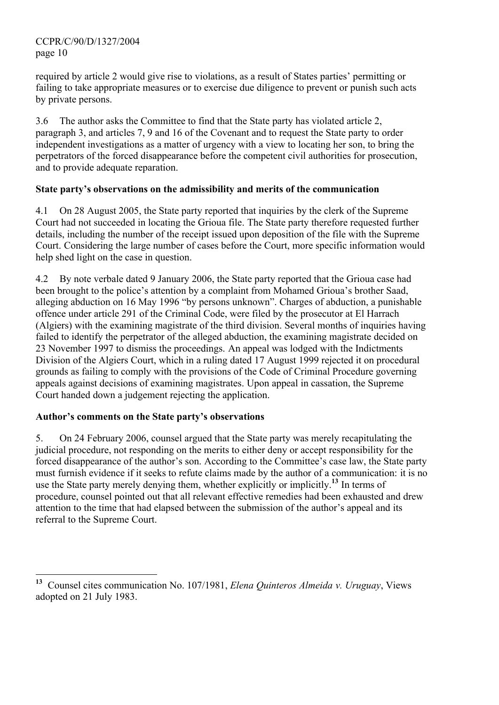CCPR/C/90/D/1327/2004 page 10

required by article 2 would give rise to violations, as a result of States parties' permitting or failing to take appropriate measures or to exercise due diligence to prevent or punish such acts by private persons.

3.6 The author asks the Committee to find that the State party has violated article 2, paragraph 3, and articles 7, 9 and 16 of the Covenant and to request the State party to order independent investigations as a matter of urgency with a view to locating her son, to bring the perpetrators of the forced disappearance before the competent civil authorities for prosecution, and to provide adequate reparation.

# **State party's observations on the admissibility and merits of the communication**

4.1 On 28 August 2005, the State party reported that inquiries by the clerk of the Supreme Court had not succeeded in locating the Grioua file. The State party therefore requested further details, including the number of the receipt issued upon deposition of the file with the Supreme Court. Considering the large number of cases before the Court, more specific information would help shed light on the case in question.

4.2 By note verbale dated 9 January 2006, the State party reported that the Grioua case had been brought to the police's attention by a complaint from Mohamed Grioua's brother Saad, alleging abduction on 16 May 1996 "by persons unknown". Charges of abduction, a punishable offence under article 291 of the Criminal Code, were filed by the prosecutor at El Harrach (Algiers) with the examining magistrate of the third division. Several months of inquiries having failed to identify the perpetrator of the alleged abduction, the examining magistrate decided on 23 November 1997 to dismiss the proceedings. An appeal was lodged with the Indictments Division of the Algiers Court, which in a ruling dated 17 August 1999 rejected it on procedural grounds as failing to comply with the provisions of the Code of Criminal Procedure governing appeals against decisions of examining magistrates. Upon appeal in cassation, the Supreme Court handed down a judgement rejecting the application.

# **Author's comments on the State party's observations**

5. On 24 February 2006, counsel argued that the State party was merely recapitulating the judicial procedure, not responding on the merits to either deny or accept responsibility for the forced disappearance of the author's son. According to the Committee's case law, the State party must furnish evidence if it seeks to refute claims made by the author of a communication: it is no use the State party merely denying them, whether explicitly or implicitly.**<sup>13</sup>** In terms of procedure, counsel pointed out that all relevant effective remedies had been exhausted and drew attention to the time that had elapsed between the submission of the author's appeal and its referral to the Supreme Court.

<sup>13</sup> **<sup>13</sup>** Counsel cites communication No. 107/1981, *Elena Quinteros Almeida v. Uruguay*, Views adopted on 21 July 1983.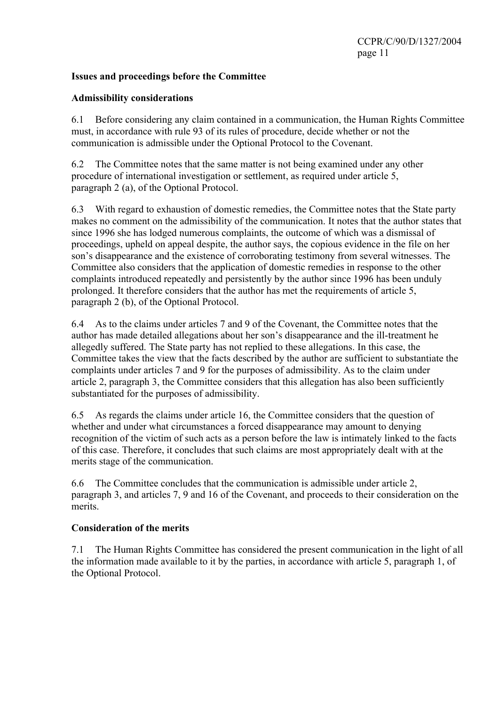# **Issues and proceedings before the Committee**

# **Admissibility considerations**

6.1 Before considering any claim contained in a communication, the Human Rights Committee must, in accordance with rule 93 of its rules of procedure, decide whether or not the communication is admissible under the Optional Protocol to the Covenant.

6.2 The Committee notes that the same matter is not being examined under any other procedure of international investigation or settlement, as required under article 5, paragraph 2 (a), of the Optional Protocol.

6.3 With regard to exhaustion of domestic remedies, the Committee notes that the State party makes no comment on the admissibility of the communication. It notes that the author states that since 1996 she has lodged numerous complaints, the outcome of which was a dismissal of proceedings, upheld on appeal despite, the author says, the copious evidence in the file on her son's disappearance and the existence of corroborating testimony from several witnesses. The Committee also considers that the application of domestic remedies in response to the other complaints introduced repeatedly and persistently by the author since 1996 has been unduly prolonged. It therefore considers that the author has met the requirements of article 5, paragraph 2 (b), of the Optional Protocol.

6.4 As to the claims under articles 7 and 9 of the Covenant, the Committee notes that the author has made detailed allegations about her son's disappearance and the ill-treatment he allegedly suffered. The State party has not replied to these allegations. In this case, the Committee takes the view that the facts described by the author are sufficient to substantiate the complaints under articles 7 and 9 for the purposes of admissibility. As to the claim under article 2, paragraph 3, the Committee considers that this allegation has also been sufficiently substantiated for the purposes of admissibility.

6.5 As regards the claims under article 16, the Committee considers that the question of whether and under what circumstances a forced disappearance may amount to denying recognition of the victim of such acts as a person before the law is intimately linked to the facts of this case. Therefore, it concludes that such claims are most appropriately dealt with at the merits stage of the communication.

6.6 The Committee concludes that the communication is admissible under article 2, paragraph 3, and articles 7, 9 and 16 of the Covenant, and proceeds to their consideration on the merits.

# **Consideration of the merits**

7.1 The Human Rights Committee has considered the present communication in the light of all the information made available to it by the parties, in accordance with article 5, paragraph 1, of the Optional Protocol.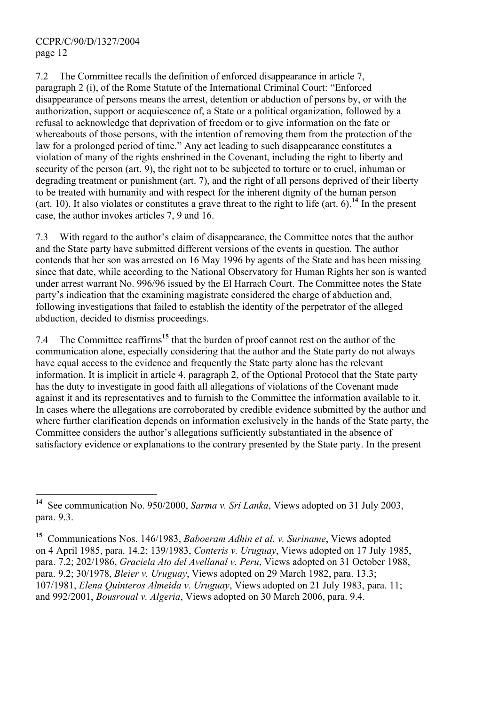7.2 The Committee recalls the definition of enforced disappearance in article 7, paragraph 2 (i), of the Rome Statute of the International Criminal Court: "Enforced disappearance of persons means the arrest, detention or abduction of persons by, or with the authorization, support or acquiescence of, a State or a political organization, followed by a refusal to acknowledge that deprivation of freedom or to give information on the fate or whereabouts of those persons, with the intention of removing them from the protection of the law for a prolonged period of time." Any act leading to such disappearance constitutes a violation of many of the rights enshrined in the Covenant, including the right to liberty and security of the person (art. 9), the right not to be subjected to torture or to cruel, inhuman or degrading treatment or punishment (art. 7), and the right of all persons deprived of their liberty to be treated with humanity and with respect for the inherent dignity of the human person (art. 10). It also violates or constitutes a grave threat to the right to life (art. 6).**<sup>14</sup>** In the present case, the author invokes articles 7, 9 and 16.

7.3 With regard to the author's claim of disappearance, the Committee notes that the author and the State party have submitted different versions of the events in question. The author contends that her son was arrested on 16 May 1996 by agents of the State and has been missing since that date, while according to the National Observatory for Human Rights her son is wanted under arrest warrant No. 996/96 issued by the El Harrach Court. The Committee notes the State party's indication that the examining magistrate considered the charge of abduction and, following investigations that failed to establish the identity of the perpetrator of the alleged abduction, decided to dismiss proceedings.

7.4 The Committee reaffirms**<sup>15</sup>** that the burden of proof cannot rest on the author of the communication alone, especially considering that the author and the State party do not always have equal access to the evidence and frequently the State party alone has the relevant information. It is implicit in article 4, paragraph 2, of the Optional Protocol that the State party has the duty to investigate in good faith all allegations of violations of the Covenant made against it and its representatives and to furnish to the Committee the information available to it. In cases where the allegations are corroborated by credible evidence submitted by the author and where further clarification depends on information exclusively in the hands of the State party, the Committee considers the author's allegations sufficiently substantiated in the absence of satisfactory evidence or explanations to the contrary presented by the State party. In the present

 $\overline{a}$ See communication No. 950/2000, *Sarma v. Sri Lanka*, Views adopted on 31 July 2003, para. 9.3.

**<sup>15</sup>** Communications Nos. 146/1983, *Baboeram Adhin et al. v. Suriname*, Views adopted on 4 April 1985, para. 14.2; 139/1983, *Conteris v. Uruguay*, Views adopted on 17 July 1985, para. 7.2; 202/1986, *Graciela Ato del Avellanal v. Peru*, Views adopted on 31 October 1988, para. 9.2; 30/1978, *Bleier v. Uruguay*, Views adopted on 29 March 1982, para. 13.3; 107/1981, *Elena Quinteros Almeida v. Uruguay*, Views adopted on 21 July 1983, para. 11; and 992/2001, *Bousroual v. Algeria*, Views adopted on 30 March 2006, para. 9.4.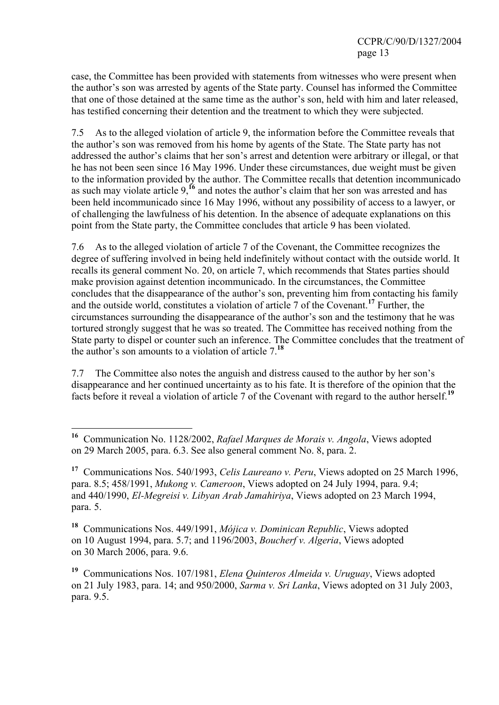case, the Committee has been provided with statements from witnesses who were present when the author's son was arrested by agents of the State party. Counsel has informed the Committee that one of those detained at the same time as the author's son, held with him and later released, has testified concerning their detention and the treatment to which they were subjected.

7.5 As to the alleged violation of article 9, the information before the Committee reveals that the author's son was removed from his home by agents of the State. The State party has not addressed the author's claims that her son's arrest and detention were arbitrary or illegal, or that he has not been seen since 16 May 1996. Under these circumstances, due weight must be given to the information provided by the author. The Committee recalls that detention incommunicado as such may violate article 9,**<sup>16</sup>** and notes the author's claim that her son was arrested and has been held incommunicado since 16 May 1996, without any possibility of access to a lawyer, or of challenging the lawfulness of his detention. In the absence of adequate explanations on this point from the State party, the Committee concludes that article 9 has been violated.

7.6 As to the alleged violation of article 7 of the Covenant, the Committee recognizes the degree of suffering involved in being held indefinitely without contact with the outside world. It recalls its general comment No. 20, on article 7, which recommends that States parties should make provision against detention incommunicado. In the circumstances, the Committee concludes that the disappearance of the author's son, preventing him from contacting his family and the outside world, constitutes a violation of article 7 of the Covenant.**<sup>17</sup>** Further, the circumstances surrounding the disappearance of the author's son and the testimony that he was tortured strongly suggest that he was so treated. The Committee has received nothing from the State party to dispel or counter such an inference. The Committee concludes that the treatment of the author's son amounts to a violation of article 7.**<sup>18</sup>**

7.7 The Committee also notes the anguish and distress caused to the author by her son's disappearance and her continued uncertainty as to his fate. It is therefore of the opinion that the facts before it reveal a violation of article 7 of the Covenant with regard to the author herself.**<sup>19</sup>**

 $\overline{a}$ 

**<sup>18</sup>** Communications Nos. 449/1991, *Mójica v. Dominican Republic*, Views adopted on 10 August 1994, para. 5.7; and 1196/2003, *Boucherf v. Algeria*, Views adopted on 30 March 2006, para. 9.6.

**<sup>19</sup>** Communications Nos. 107/1981, *Elena Quinteros Almeida v. Uruguay*, Views adopted on 21 July 1983, para. 14; and 950/2000, *Sarma v. Sri Lanka*, Views adopted on 31 July 2003, para. 9.5.

**<sup>16</sup>** Communication No. 1128/2002, *Rafael Marques de Morais v. Angola*, Views adopted on 29 March 2005, para. 6.3. See also general comment No. 8, para. 2.

**<sup>17</sup>** Communications Nos. 540/1993, *Celis Laureano v. Peru*, Views adopted on 25 March 1996, para. 8.5; 458/1991, *Mukong v. Cameroon*, Views adopted on 24 July 1994, para. 9.4; and 440/1990, *El-Megreisi v. Libyan Arab Jamahiriya*, Views adopted on 23 March 1994, para. 5.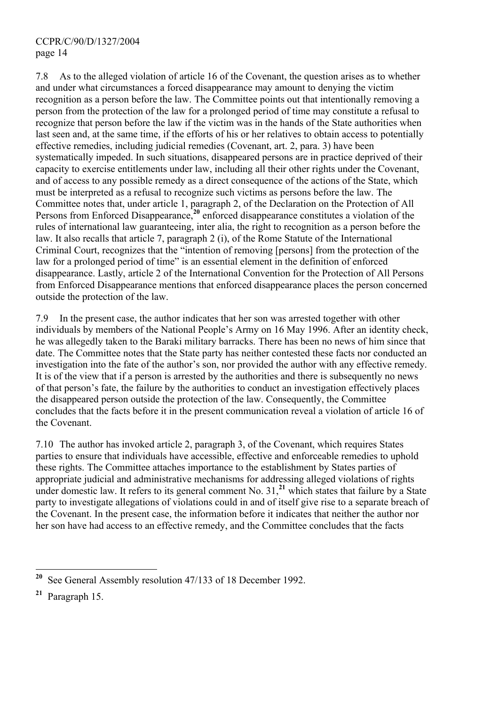7.8 As to the alleged violation of article 16 of the Covenant, the question arises as to whether and under what circumstances a forced disappearance may amount to denying the victim recognition as a person before the law. The Committee points out that intentionally removing a person from the protection of the law for a prolonged period of time may constitute a refusal to recognize that person before the law if the victim was in the hands of the State authorities when last seen and, at the same time, if the efforts of his or her relatives to obtain access to potentially effective remedies, including judicial remedies (Covenant, art. 2, para. 3) have been systematically impeded. In such situations, disappeared persons are in practice deprived of their capacity to exercise entitlements under law, including all their other rights under the Covenant, and of access to any possible remedy as a direct consequence of the actions of the State, which must be interpreted as a refusal to recognize such victims as persons before the law. The Committee notes that, under article 1, paragraph 2, of the Declaration on the Protection of All Persons from Enforced Disappearance,**<sup>20</sup>** enforced disappearance constitutes a violation of the rules of international law guaranteeing, inter alia, the right to recognition as a person before the law. It also recalls that article 7, paragraph 2 (i), of the Rome Statute of the International Criminal Court, recognizes that the "intention of removing [persons] from the protection of the law for a prolonged period of time" is an essential element in the definition of enforced disappearance. Lastly, article 2 of the International Convention for the Protection of All Persons from Enforced Disappearance mentions that enforced disappearance places the person concerned outside the protection of the law.

7.9 In the present case, the author indicates that her son was arrested together with other individuals by members of the National People's Army on 16 May 1996. After an identity check, he was allegedly taken to the Baraki military barracks. There has been no news of him since that date. The Committee notes that the State party has neither contested these facts nor conducted an investigation into the fate of the author's son, nor provided the author with any effective remedy. It is of the view that if a person is arrested by the authorities and there is subsequently no news of that person's fate, the failure by the authorities to conduct an investigation effectively places the disappeared person outside the protection of the law. Consequently, the Committee concludes that the facts before it in the present communication reveal a violation of article 16 of the Covenant.

7.10 The author has invoked article 2, paragraph 3, of the Covenant, which requires States parties to ensure that individuals have accessible, effective and enforceable remedies to uphold these rights. The Committee attaches importance to the establishment by States parties of appropriate judicial and administrative mechanisms for addressing alleged violations of rights under domestic law. It refers to its general comment No. 31,**<sup>21</sup>** which states that failure by a State party to investigate allegations of violations could in and of itself give rise to a separate breach of the Covenant. In the present case, the information before it indicates that neither the author nor her son have had access to an effective remedy, and the Committee concludes that the facts

<sup>20</sup> **<sup>20</sup>** See General Assembly resolution 47/133 of 18 December 1992.

**<sup>21</sup>** Paragraph 15.